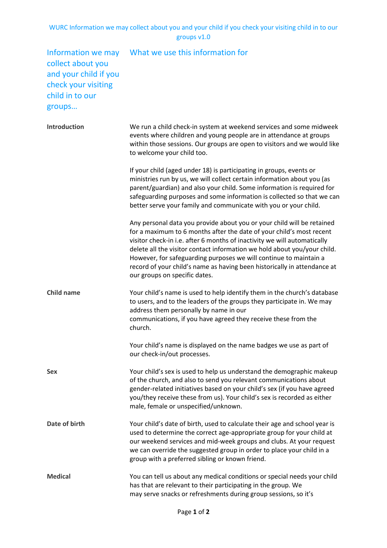## WURC Information we may collect about you and your child if you check your visiting child in to our groups v1.0

| Information we may<br>collect about you<br>and your child if you<br>check your visiting<br>child in to our<br>groups | What we use this information for                                                                                                                                                                                                                                                                                                                                                                                                                                                         |
|----------------------------------------------------------------------------------------------------------------------|------------------------------------------------------------------------------------------------------------------------------------------------------------------------------------------------------------------------------------------------------------------------------------------------------------------------------------------------------------------------------------------------------------------------------------------------------------------------------------------|
| <b>Introduction</b>                                                                                                  | We run a child check-in system at weekend services and some midweek<br>events where children and young people are in attendance at groups<br>within those sessions. Our groups are open to visitors and we would like<br>to welcome your child too.                                                                                                                                                                                                                                      |
|                                                                                                                      | If your child (aged under 18) is participating in groups, events or<br>ministries run by us, we will collect certain information about you (as<br>parent/guardian) and also your child. Some information is required for<br>safeguarding purposes and some information is collected so that we can<br>better serve your family and communicate with you or your child.                                                                                                                   |
|                                                                                                                      | Any personal data you provide about you or your child will be retained<br>for a maximum to 6 months after the date of your child's most recent<br>visitor check-in i.e. after 6 months of inactivity we will automatically<br>delete all the visitor contact information we hold about you/your child.<br>However, for safeguarding purposes we will continue to maintain a<br>record of your child's name as having been historically in attendance at<br>our groups on specific dates. |
| <b>Child name</b>                                                                                                    | Your child's name is used to help identify them in the church's database<br>to users, and to the leaders of the groups they participate in. We may<br>address them personally by name in our<br>communications, if you have agreed they receive these from the<br>church.                                                                                                                                                                                                                |
|                                                                                                                      | Your child's name is displayed on the name badges we use as part of<br>our check-in/out processes.                                                                                                                                                                                                                                                                                                                                                                                       |
| <b>Sex</b>                                                                                                           | Your child's sex is used to help us understand the demographic makeup<br>of the church, and also to send you relevant communications about<br>gender-related initiatives based on your child's sex (if you have agreed<br>you/they receive these from us). Your child's sex is recorded as either<br>male, female or unspecified/unknown.                                                                                                                                                |
| Date of birth                                                                                                        | Your child's date of birth, used to calculate their age and school year is<br>used to determine the correct age-appropriate group for your child at<br>our weekend services and mid-week groups and clubs. At your request<br>we can override the suggested group in order to place your child in a<br>group with a preferred sibling or known friend.                                                                                                                                   |
| <b>Medical</b>                                                                                                       | You can tell us about any medical conditions or special needs your child<br>has that are relevant to their participating in the group. We<br>may serve snacks or refreshments during group sessions, so it's                                                                                                                                                                                                                                                                             |